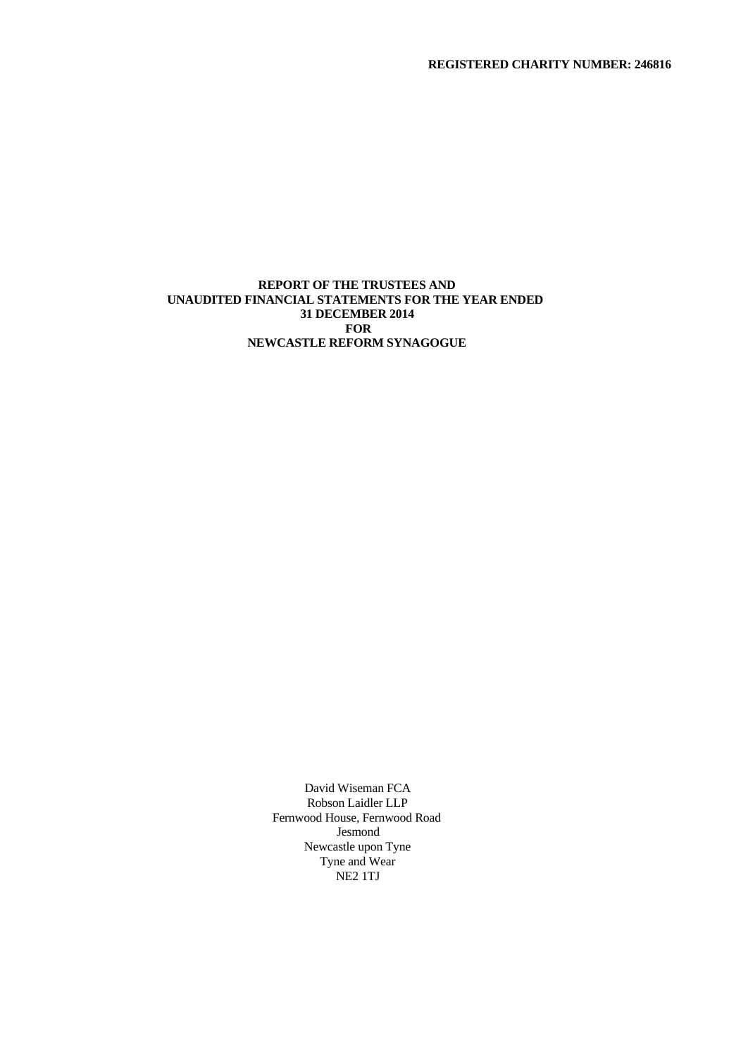**REGISTERED CHARITY NUMBER: 246816**

## **REPORT OF THE TRUSTEES AND UNAUDITED FINANCIAL STATEMENTS FOR THE YEAR ENDED 31 DECEMBER 2014 FOR NEWCASTLE REFORM SYNAGOGUE**

David Wiseman FCA Robson Laidler LLP Fernwood House, Fernwood Road Jesmond Newcastle upon Tyne Tyne and Wear NE2 1TJ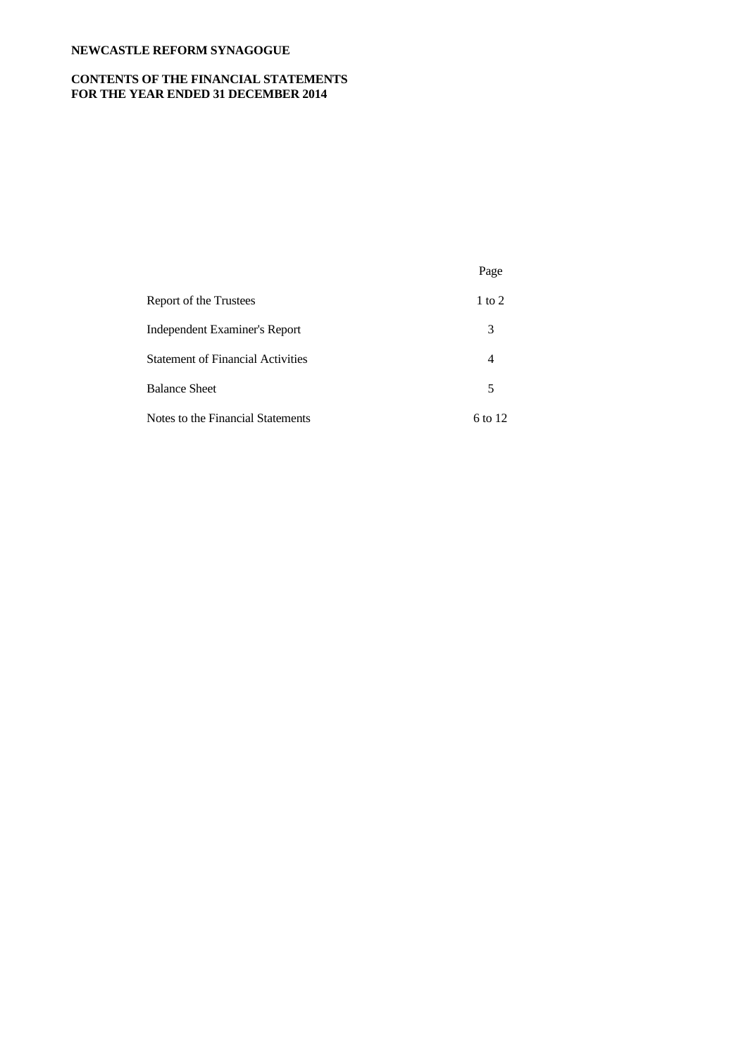# **CONTENTS OF THE FINANCIAL STATEMENTS FOR THE YEAR ENDED 31 DECEMBER 2014**

|                                          | Page           |  |
|------------------------------------------|----------------|--|
| Report of the Trustees                   | $1$ to $2$     |  |
| Independent Examiner's Report            | 3              |  |
| <b>Statement of Financial Activities</b> | $\overline{4}$ |  |
| <b>Balance Sheet</b>                     | 5              |  |
| Notes to the Financial Statements        | 6 to 12        |  |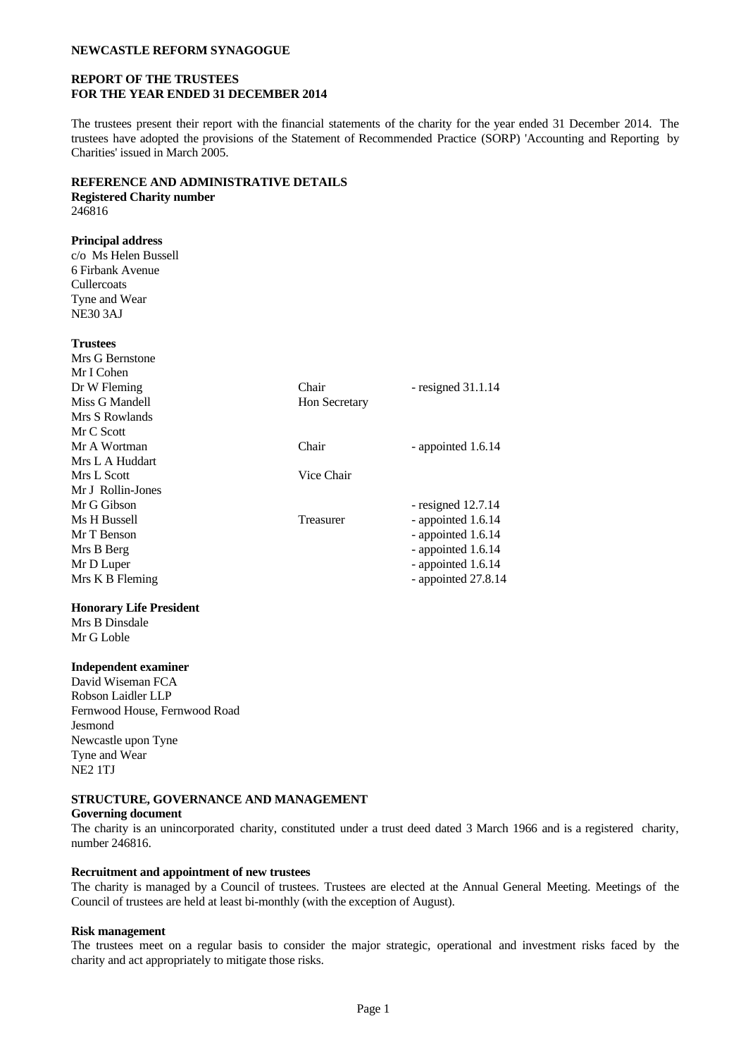## **REPORT OF THE TRUSTEES FOR THE YEAR ENDED 31 DECEMBER 2014**

The trustees present their report with the financial statements of the charity for the year ended 31 December 2014. The trustees have adopted the provisions of the Statement of Recommended Practice (SORP) 'Accounting and Reporting by Charities' issued in March 2005.

### **REFERENCE AND ADMINISTRATIVE DETAILS**

# **Registered Charity number**

246816

# **Principal address**

c/o Ms Helen Bussell 6 Firbank Avenue **Cullercoats** Tyne and Wear NE30 3AJ

| <b>Trustees</b>   |                      |                      |
|-------------------|----------------------|----------------------|
| Mrs G Bernstone   |                      |                      |
| Mr I Cohen        |                      |                      |
| Dr W Fleming      | Chair                | - resigned $31.1.14$ |
| Miss G Mandell    | <b>Hon Secretary</b> |                      |
| Mrs S Rowlands    |                      |                      |
| Mr C Scott        |                      |                      |
| Mr A Wortman      | Chair                | - appointed 1.6.14   |
| Mrs L A Huddart   |                      |                      |
| Mrs L Scott       | Vice Chair           |                      |
| Mr J Rollin-Jones |                      |                      |
| Mr G Gibson       |                      | - resigned $12.7.14$ |
| Ms H Bussell      | Treasurer            | - appointed 1.6.14   |
| Mr T Benson       |                      | - appointed 1.6.14   |
| Mrs B Berg        |                      | - appointed 1.6.14   |
| Mr D Luper        |                      | - appointed 1.6.14   |
| Mrs K B Fleming   |                      | - appointed 27.8.14  |
|                   |                      |                      |

## **Honorary Life President**

Mrs B Dinsdale Mr G Loble

### **Independent examiner**

David Wiseman FCA Robson Laidler LLP Fernwood House, Fernwood Road Jesmond Newcastle upon Tyne Tyne and Wear NE2 1TJ

## **STRUCTURE, GOVERNANCE AND MANAGEMENT**

#### **Governing document**

The charity is an unincorporated charity, constituted under a trust deed dated 3 March 1966 and is a registered charity, number 246816.

### **Recruitment and appointment of new trustees**

The charity is managed by a Council of trustees. Trustees are elected at the Annual General Meeting. Meetings of the Council of trustees are held at least bi-monthly (with the exception of August).

#### **Risk management**

The trustees meet on a regular basis to consider the major strategic, operational and investment risks faced by the charity and act appropriately to mitigate those risks.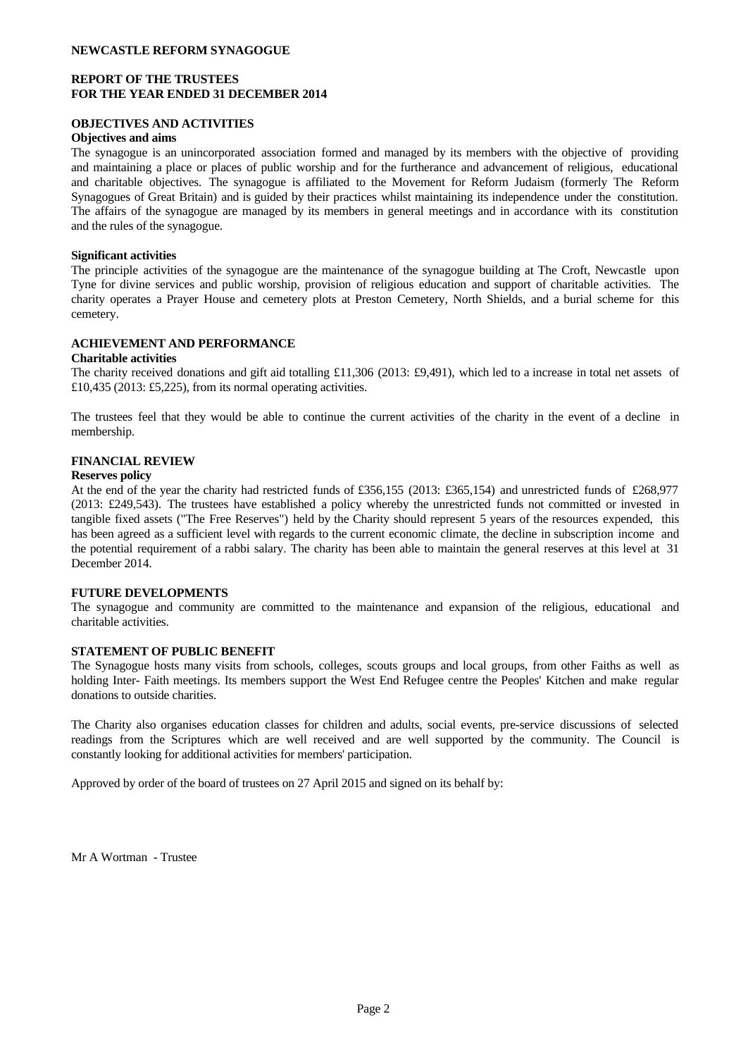### **REPORT OF THE TRUSTEES FOR THE YEAR ENDED 31 DECEMBER 2014**

## **OBJECTIVES AND ACTIVITIES**

### **Objectives and aims**

The synagogue is an unincorporated association formed and managed by its members with the objective of providing and maintaining a place or places of public worship and for the furtherance and advancement of religious, educational and charitable objectives. The synagogue is affiliated to the Movement for Reform Judaism (formerly The Reform Synagogues of Great Britain) and is guided by their practices whilst maintaining its independence under the constitution. The affairs of the synagogue are managed by its members in general meetings and in accordance with its constitution and the rules of the synagogue.

### **Significant activities**

The principle activities of the synagogue are the maintenance of the synagogue building at The Croft, Newcastle upon Tyne for divine services and public worship, provision of religious education and support of charitable activities. The charity operates a Prayer House and cemetery plots at Preston Cemetery, North Shields, and a burial scheme for this cemetery.

## **ACHIEVEMENT AND PERFORMANCE**

### **Charitable activities**

The charity received donations and gift aid totalling £11,306 (2013: £9,491), which led to a increase in total net assets of £10,435 (2013: £5,225), from its normal operating activities.

The trustees feel that they would be able to continue the current activities of the charity in the event of a decline in membership.

## **FINANCIAL REVIEW**

### **Reserves policy**

At the end of the year the charity had restricted funds of £356,155 (2013: £365,154) and unrestricted funds of £268,977 (2013: £249,543). The trustees have established a policy whereby the unrestricted funds not committed or invested in tangible fixed assets ("The Free Reserves") held by the Charity should represent 5 years of the resources expended, this has been agreed as a sufficient level with regards to the current economic climate, the decline in subscription income and the potential requirement of a rabbi salary. The charity has been able to maintain the general reserves at this level at 31 December 2014.

### **FUTURE DEVELOPMENTS**

The synagogue and community are committed to the maintenance and expansion of the religious, educational and charitable activities.

### **STATEMENT OF PUBLIC BENEFIT**

The Synagogue hosts many visits from schools, colleges, scouts groups and local groups, from other Faiths as well as holding Inter- Faith meetings. Its members support the West End Refugee centre the Peoples' Kitchen and make regular donations to outside charities.

The Charity also organises education classes for children and adults, social events, pre-service discussions of selected readings from the Scriptures which are well received and are well supported by the community. The Council is constantly looking for additional activities for members' participation.

Approved by order of the board of trustees on 27 April 2015 and signed on its behalf by:

Mr A Wortman - Trustee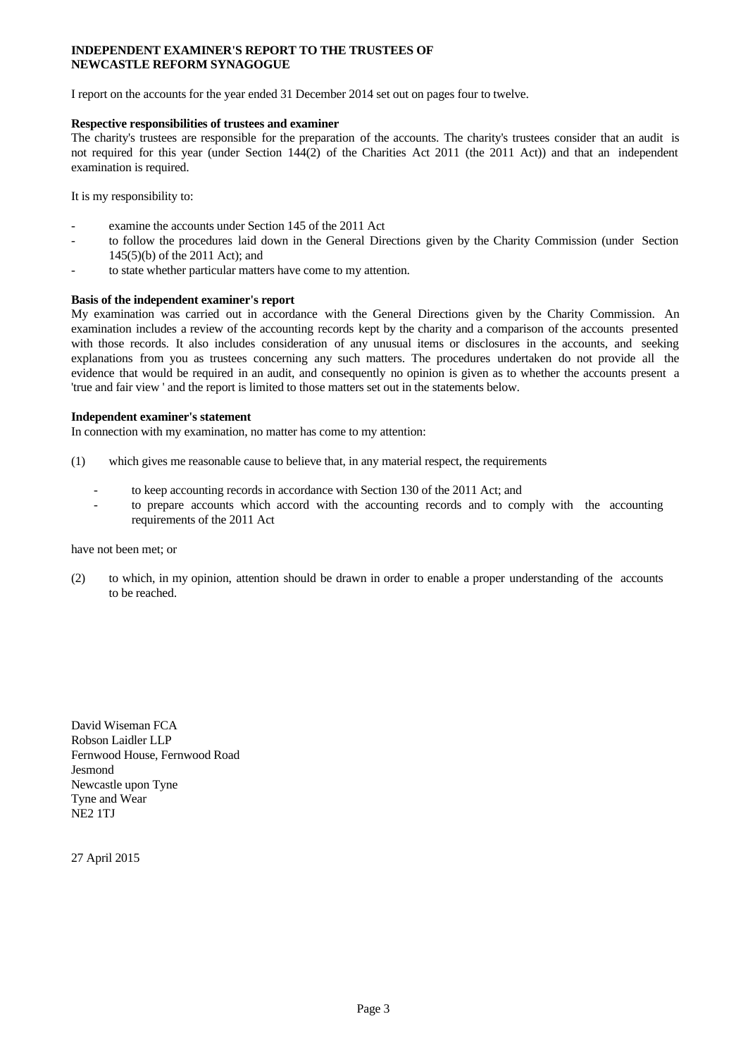### **INDEPENDENT EXAMINER'S REPORT TO THE TRUSTEES OF NEWCASTLE REFORM SYNAGOGUE**

I report on the accounts for the year ended 31 December 2014 set out on pages four to twelve.

### **Respective responsibilities of trustees and examiner**

The charity's trustees are responsible for the preparation of the accounts. The charity's trustees consider that an audit is not required for this year (under Section 144(2) of the Charities Act 2011 (the 2011 Act)) and that an independent examination is required.

It is my responsibility to:

- examine the accounts under Section 145 of the 2011 Act
- to follow the procedures laid down in the General Directions given by the Charity Commission (under Section 145(5)(b) of the 2011 Act); and
- to state whether particular matters have come to my attention.

#### **Basis of the independent examiner's report**

My examination wascarried out in accordance with the General Directions given by the Charity Commission. An examination includes a review of the accounting records kept by the charity and a comparison of the accounts presented with those records. It also includes consideration of any unusual items or disclosures in the accounts, and seeking explanations from you as trustees concerning any such matters. The procedures undertaken do not provide all the evidence that would be required in an audit, and consequently no opinion is given as to whether the accounts present a 'true and fair view ' and the report is limited to those matters set out in the statements below.

#### **Independent examiner's statement**

In connection with my examination, no matter has come to my attention:

- (1) which gives me reasonable cause to believe that, in any material respect, the requirements
	- to keep accounting records in accordance with Section 130 of the 2011 Act; and
	- to prepare accounts which accord with the accounting records and to comply with the accounting requirements of the 2011 Act

#### have not been met; or

(2) to which, in my opinion, attention should be drawn in order to enable a proper understanding of the accounts to be reached.

David Wiseman FCA Robson Laidler LLP Fernwood House, Fernwood Road Jesmond Newcastle upon Tyne Tyne and Wear NE2 1TJ

27 April 2015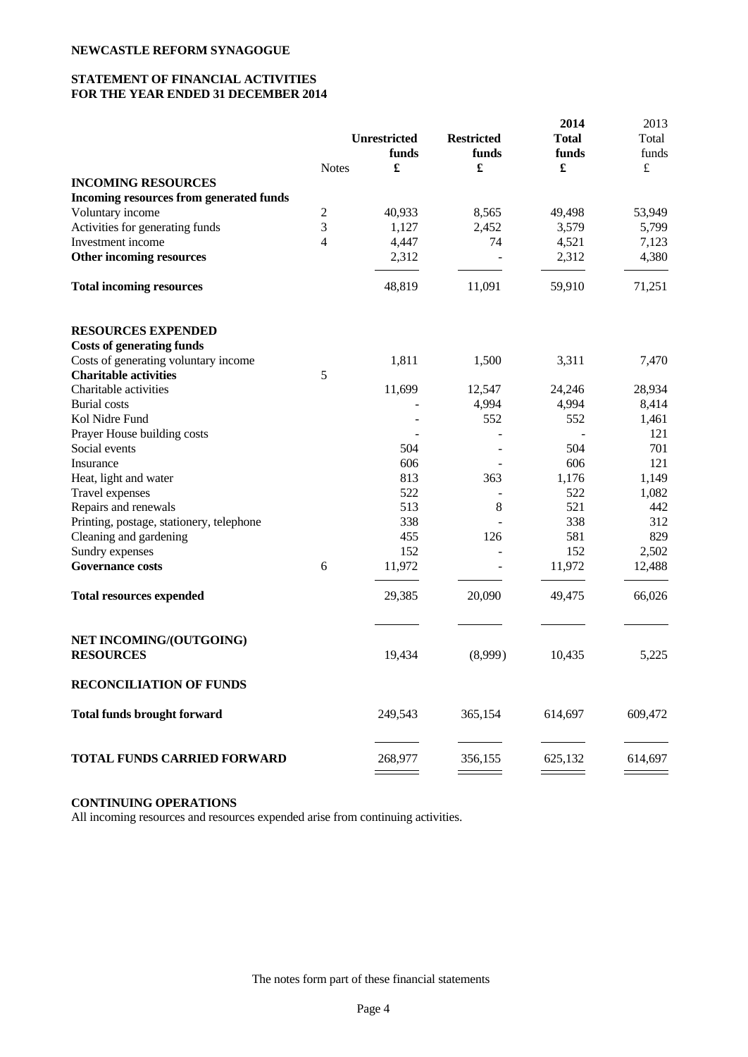## **STATEMENT OF FINANCIAL ACTIVITIES FOR THE YEAR ENDED 31 DECEMBER 2014**

|                |                      |                                                                  | 2014         | 2013                        |
|----------------|----------------------|------------------------------------------------------------------|--------------|-----------------------------|
|                |                      | <b>Restricted</b>                                                | <b>Total</b> | Total                       |
|                | funds                | funds                                                            | funds        | funds                       |
| <b>Notes</b>   | $\pmb{\mathfrak{L}}$ | £                                                                |              | $\pounds$                   |
|                |                      |                                                                  |              |                             |
|                |                      |                                                                  |              |                             |
| $\overline{c}$ | 40,933               | 8,565                                                            | 49,498       | 53,949                      |
| 3              | 1,127                | 2,452                                                            | 3,579        | 5,799                       |
| $\overline{4}$ | 4,447                | 74                                                               | 4,521        | 7,123                       |
|                | 2,312                |                                                                  | 2,312        | 4,380                       |
|                | 48,819               | 11,091                                                           | 59,910       | 71,251                      |
|                |                      |                                                                  |              |                             |
|                |                      |                                                                  |              |                             |
|                | 1,811                | 1,500                                                            | 3,311        | 7,470                       |
| 5              |                      |                                                                  |              |                             |
|                | 11,699               | 12,547                                                           | 24,246       | 28,934                      |
|                |                      | 4,994                                                            | 4,994        | 8,414                       |
|                |                      | 552                                                              | 552          | 1,461                       |
|                |                      |                                                                  |              | 121                         |
|                | 504                  |                                                                  | 504          | 701                         |
|                |                      |                                                                  | 606          | 121                         |
|                | 813                  | 363                                                              | 1,176        | 1,149                       |
|                | 522                  | $\overline{a}$                                                   | 522          | 1,082                       |
|                |                      | 8                                                                |              | 442                         |
|                |                      | $\overline{a}$                                                   |              | 312                         |
|                |                      | 126                                                              |              | 829                         |
|                |                      |                                                                  | 152          | 2,502                       |
| 6              | 11,972               | $\overline{a}$                                                   | 11,972       | 12,488                      |
|                | 29,385               | 20,090                                                           | 49,475       | 66,026                      |
|                |                      |                                                                  |              | 5,225                       |
|                |                      |                                                                  |              |                             |
|                |                      |                                                                  |              |                             |
|                | 249,543              | 365,154                                                          | 614,697      | 609,472                     |
|                | 268,977              | 356,155                                                          | 625,132      | 614,697                     |
|                |                      | <b>Unrestricted</b><br>606<br>513<br>338<br>455<br>152<br>19,434 | (8,999)      | 521<br>338<br>581<br>10,435 |

## **CONTINUING OPERATIONS**

All incoming resources and resources expended arise from continuing activities.

The notes form part of these financial statements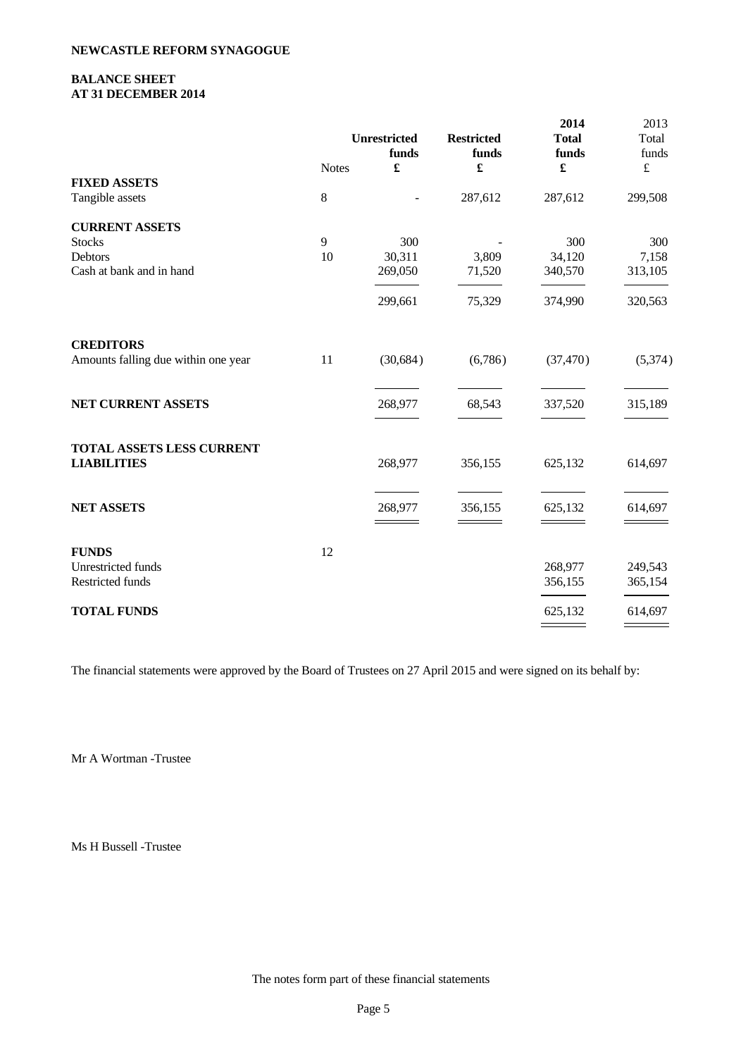## **BALANCE SHEET AT 31 DECEMBER 2014**

|                                     |              | <b>Unrestricted</b><br>funds | <b>Restricted</b><br>funds | 2014<br><b>Total</b><br>funds | 2013<br>Total<br>funds |  |
|-------------------------------------|--------------|------------------------------|----------------------------|-------------------------------|------------------------|--|
|                                     | <b>Notes</b> | $\pmb{\mathfrak{L}}$         | £                          | $\pmb{\mathfrak{L}}$          | $\pounds$              |  |
| <b>FIXED ASSETS</b>                 |              |                              |                            |                               |                        |  |
| Tangible assets                     | $8\,$        | $\overline{\phantom{m}}$     | 287,612                    | 287,612                       | 299,508                |  |
| <b>CURRENT ASSETS</b>               |              |                              |                            |                               |                        |  |
| <b>Stocks</b>                       | 9            | 300                          |                            | 300                           | 300                    |  |
| Debtors                             | 10           | 30,311                       | 3,809                      | 34,120                        | 7,158                  |  |
| Cash at bank and in hand            |              | 269,050                      | 71,520                     | 340,570                       | 313,105                |  |
|                                     |              | 299,661                      | 75,329                     | 374,990                       | 320,563                |  |
| <b>CREDITORS</b>                    |              |                              |                            |                               |                        |  |
| Amounts falling due within one year | 11           | (30, 684)                    | (6,786)                    | (37, 470)                     | (5,374)                |  |
| NET CURRENT ASSETS                  |              | 268,977                      | 68,543                     | 337,520                       | 315,189                |  |
| TOTAL ASSETS LESS CURRENT           |              |                              |                            |                               |                        |  |
| <b>LIABILITIES</b>                  |              | 268,977                      | 356,155                    | 625,132                       | 614,697                |  |
| <b>NET ASSETS</b>                   |              | 268,977                      | 356,155                    | 625,132                       | 614,697                |  |
|                                     |              |                              |                            |                               |                        |  |
| <b>FUNDS</b>                        | 12           |                              |                            |                               |                        |  |
| Unrestricted funds                  |              |                              |                            | 268,977                       | 249,543                |  |
| Restricted funds                    |              |                              |                            | 356,155                       | 365,154                |  |
| <b>TOTAL FUNDS</b>                  |              |                              |                            | 625,132                       | 614,697                |  |
|                                     |              |                              |                            |                               |                        |  |

The financial statements were approved by the Board of Trustees on 27 April 2015 and were signed on its behalf by:

Mr A Wortman -Trustee

Ms H Bussell -Trustee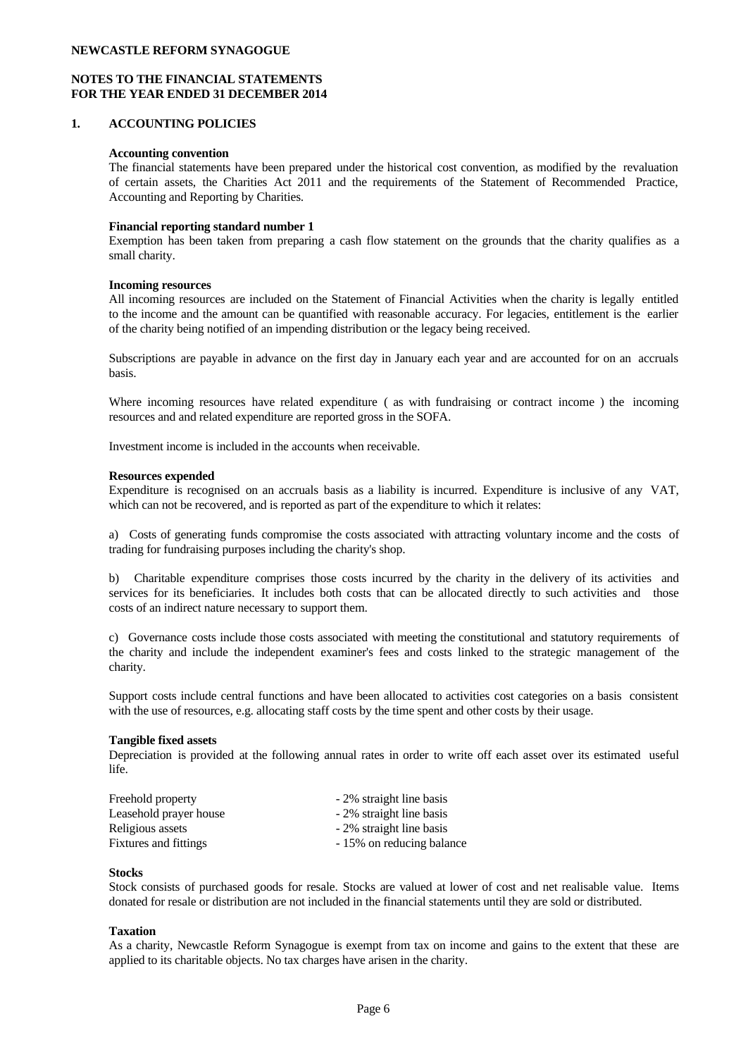## **NOTES TO THE FINANCIAL STATEMENTS FOR THE YEAR ENDED 31 DECEMBER 2014**

### **1. ACCOUNTING POLICIES**

#### **Accounting convention**

The financial statements have been prepared under the historical cost convention, as modified by the revaluation of certain assets, the Charities Act 2011 and the requirements of the Statement of Recommended Practice, Accounting and Reporting by Charities.

#### **Financial reporting standard number 1**

Exemption has been taken from preparing a cash flow statement on the grounds that the charity qualifies as a small charity.

#### **Incoming resources**

All incoming resources are included on the Statement of Financial Activities when the charity is legally entitled to the income and the amount can be quantified with reasonable accuracy. For legacies, entitlement is the earlier of the charity being notified of an impending distribution or the legacy being received.

Subscriptions are payable in advance on the first day in January each year and are accounted for on an accruals basis.

Where incoming resources have related expenditure ( as with fundraising or contract income ) the incoming resources and and related expenditure are reported gross in the SOFA.

Investment income is included in the accounts when receivable.

#### **Resources expended**

Expenditure is recognised on an accruals basis as a liability is incurred. Expenditure isinclusive of any VAT, which can not be recovered, and is reported as part of the expenditure to which it relates:

a) Costs of generating funds compromise the costs associated with attracting voluntary income and the costs of trading for fundraising purposes including the charity's shop.

b) Charitable expenditure comprises those costs incurred by the charity in the delivery of its activities and services for its beneficiaries. It includes both costs that can be allocated directly to such activities and those costs of an indirect nature necessary to support them.

c) Governance costs include those costs associated with meeting the constitutional and statutory requirements of the charity and include the independent examiner's fees and costs linked to the strategic management of the charity.

Support costs include central functions and have been allocated to activities cost categories on a basis consistent with the use of resources, e.g. allocating staff costs by the time spent and other costs by their usage.

#### **Tangible fixed assets**

Depreciation is provided at the following annual rates in order to write off each asset over its estimated useful life.

| Freehold property      | - 2% straight line basis  |
|------------------------|---------------------------|
| Leasehold prayer house | - 2% straight line basis  |
| Religious assets       | - 2% straight line basis  |
| Fixtures and fittings  | - 15% on reducing balance |

#### **Stocks**

Stock consists of purchased goods for resale. Stocks are valued at lower of cost and net realisable value. Items donated for resale or distribution are not included in the financial statements until they are sold or distributed.

#### **Taxation**

As a charity, Newcastle Reform Synagogue is exempt from tax on income and gains to the extent that these are applied to its charitable objects. No tax charges have arisen in the charity.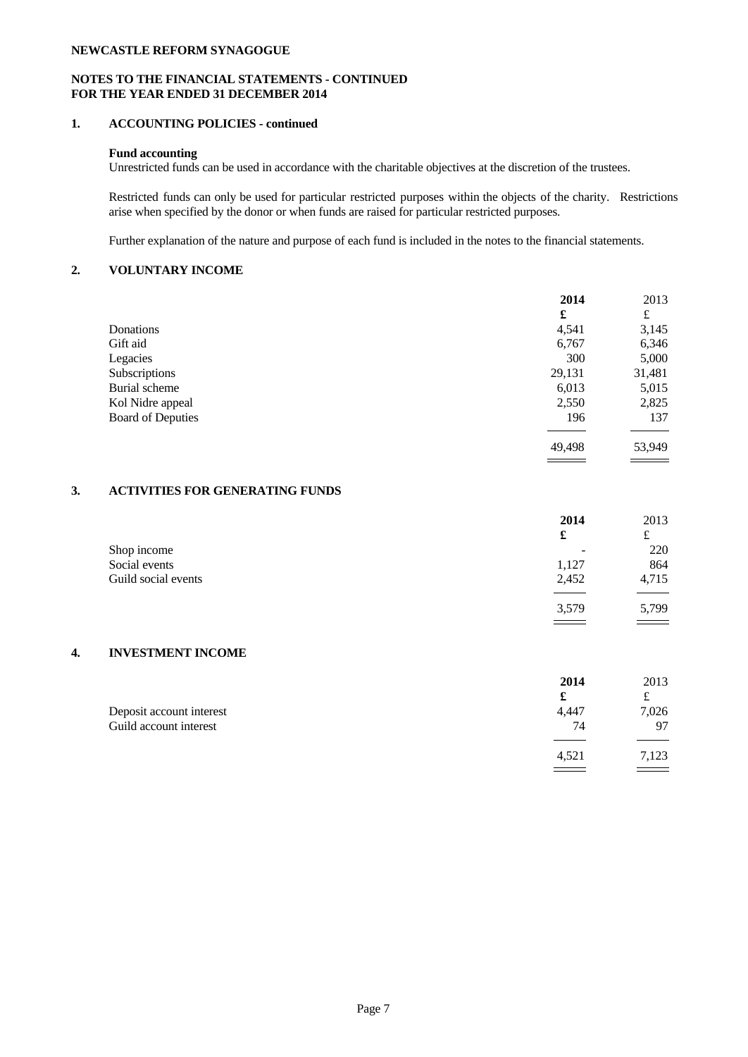## **NOTES TO THE FINANCIAL STATEMENTS - CONTINUED FOR THE YEAR ENDED 31 DECEMBER 2014**

## **1. ACCOUNTING POLICIES - continued**

## **Fund accounting**

Unrestricted funds can be used in accordance with the charitable objectives at the discretion of the trustees.

Restricted funds can only be used for particular restricted purposes within the objects of the charity. Restrictions arise when specified by the donor or when funds are raised for particular restricted purposes.

Further explanation of the nature and purpose of each fund is included in the notes to the financial statements.

## **2. VOLUNTARY INCOME**

|                          | 2014   | 2013   |  |
|--------------------------|--------|--------|--|
|                          | £      | £      |  |
| Donations                | 4,541  | 3,145  |  |
| Gift aid                 | 6,767  | 6,346  |  |
| Legacies                 | 300    | 5,000  |  |
| Subscriptions            | 29,131 | 31,481 |  |
| Burial scheme            | 6,013  | 5,015  |  |
| Kol Nidre appeal         | 2,550  | 2,825  |  |
| <b>Board of Deputies</b> | 196    | 137    |  |
|                          |        |        |  |
|                          | 49,498 | 53,949 |  |

## **3. ACTIVITIES FOR GENERATING FUNDS**

|                     | 2014                     | 2013  |  |
|---------------------|--------------------------|-------|--|
|                     | £                        | s-    |  |
| Shop income         | $\overline{\phantom{0}}$ | 220   |  |
| Social events       | 1,127                    | 864   |  |
| Guild social events | 2,452                    | 4,715 |  |
|                     |                          |       |  |
|                     | 3,579                    | 5,799 |  |
|                     |                          |       |  |

#### **4. INVESTMENT INCOME**

|                          | 2014  | 2013  |  |
|--------------------------|-------|-------|--|
|                          |       | t     |  |
| Deposit account interest | 4,447 | 7,026 |  |
| Guild account interest   | 74    | -97   |  |
|                          |       |       |  |
|                          | 4,521 | 7,123 |  |
|                          |       |       |  |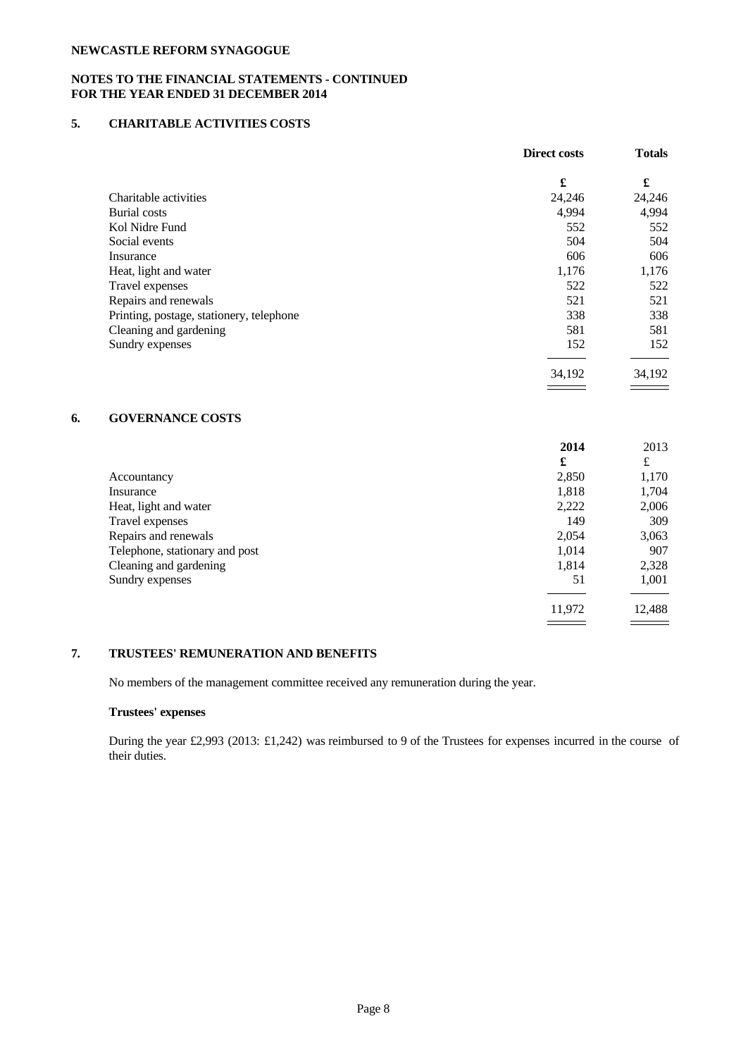## **NOTES TO THE FINANCIAL STATEMENTS - CONTINUED FOR THE YEAR ENDED 31 DECEMBER 2014**

## **5. CHARITABLE ACTIVITIES COSTS**

|                                          | Direct costs | <b>Totals</b> |  |
|------------------------------------------|--------------|---------------|--|
|                                          | £            | £             |  |
| Charitable activities                    | 24,246       | 24,246        |  |
| <b>Burial</b> costs                      | 4,994        | 4,994         |  |
| Kol Nidre Fund                           | 552          | 552           |  |
| Social events                            | 504          | 504           |  |
| Insurance                                | 606          | 606           |  |
| Heat, light and water                    | 1,176        | 1,176         |  |
| Travel expenses                          | 522          | 522           |  |
| Repairs and renewals                     | 521          | 521           |  |
| Printing, postage, stationery, telephone | 338          | 338           |  |
| Cleaning and gardening                   | 581          | 581           |  |
| Sundry expenses                          | 152          | 152           |  |
|                                          | 34,192       | 34,192        |  |
|                                          |              |               |  |

# **6. GOVERNANCE COSTS**

|                                | 2014   | 2013   |  |
|--------------------------------|--------|--------|--|
|                                | £      | £      |  |
| Accountancy                    | 2,850  | 1,170  |  |
| Insurance                      | 1,818  | 1,704  |  |
| Heat, light and water          | 2,222  | 2,006  |  |
| Travel expenses                | 149    | 309    |  |
| Repairs and renewals           | 2,054  | 3,063  |  |
| Telephone, stationary and post | 1,014  | 907    |  |
| Cleaning and gardening         | 1,814  | 2,328  |  |
| Sundry expenses                | 51     | 1,001  |  |
|                                | 11,972 | 12,488 |  |
|                                |        |        |  |

# **7. TRUSTEES' REMUNERATION AND BENEFITS**

No members of the management committee received any remuneration during the year.

## **Trustees' expenses**

During the year £2,993 (2013: £1,242) was reimbursed to 9 of the Trustees for expenses incurred in the course of their duties.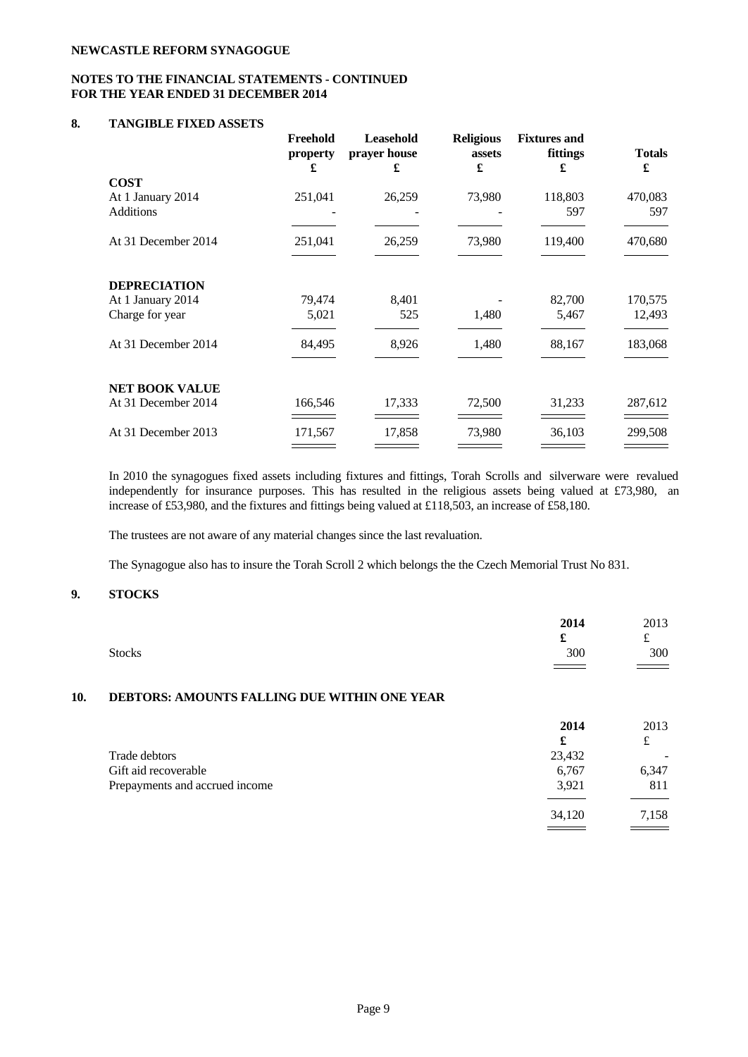## **NOTES TO THE FINANCIAL STATEMENTS - CONTINUED FOR THE YEAR ENDED 31 DECEMBER 2014**

### **8. TANGIBLE FIXED ASSETS**

|                                       | Freehold<br>property<br>£ | Leasehold<br>prayer house<br>£ | <b>Religious</b><br>assets<br>£ | <b>Fixtures</b> and<br>fittings<br>£ | <b>Totals</b><br>£ |  |
|---------------------------------------|---------------------------|--------------------------------|---------------------------------|--------------------------------------|--------------------|--|
| <b>COST</b>                           |                           |                                |                                 |                                      |                    |  |
| At 1 January 2014<br><b>Additions</b> | 251,041                   | 26,259                         | 73,980                          | 118,803<br>597                       | 470,083<br>597     |  |
| At 31 December 2014                   | 251,041                   | 26,259                         | 73,980                          | 119,400                              | 470,680            |  |
| <b>DEPRECIATION</b>                   |                           |                                |                                 |                                      |                    |  |
| At 1 January 2014                     | 79,474                    | 8,401                          |                                 | 82,700                               | 170,575            |  |
| Charge for year                       | 5,021                     | 525                            | 1,480                           | 5,467                                | 12,493             |  |
| At 31 December 2014                   | 84,495                    | 8,926                          | 1,480                           | 88,167                               | 183,068            |  |
|                                       |                           |                                |                                 |                                      |                    |  |
| <b>NET BOOK VALUE</b>                 |                           |                                |                                 |                                      |                    |  |
| At 31 December 2014                   | 166,546                   | 17,333                         | 72,500                          | 31,233                               | 287,612            |  |
| At 31 December 2013                   | 171,567                   | 17,858                         | 73,980                          | 36,103                               | 299,508            |  |
|                                       |                           |                                |                                 |                                      |                    |  |

In 2010 the synagogues fixed assets including fixtures and fittings, Torah Scrolls and silverware were revalued independently for insurance purposes. This has resulted in the religious assets being valued at £73,980, an increase of £53,980, and the fixtures and fittings being valued at £118,503, an increase of £58,180.

The trustees are not aware of any material changes since the last revaluation.

The Synagogue also has to insure the Torah Scroll 2 which belongs the the Czech Memorial Trust No 831.

# **9. STOCKS**

|     | <b>Stocks</b>                                | 2014<br>r<br>ക<br>300<br>$\overline{\phantom{a}}$ | 2013<br>۰.<br>300<br>$\sim$ $\sim$ |
|-----|----------------------------------------------|---------------------------------------------------|------------------------------------|
| 10. | DEBTORS: AMOUNTS FALLING DUE WITHIN ONE YEAR |                                                   |                                    |

|                                | 2014   | 2013                     |  |
|--------------------------------|--------|--------------------------|--|
|                                | £      | £                        |  |
| Trade debtors                  | 23,432 | $\overline{\phantom{0}}$ |  |
| Gift aid recoverable           | 6,767  | 6,347                    |  |
| Prepayments and accrued income | 3,921  | 811                      |  |
|                                |        |                          |  |
|                                | 34,120 | 7,158                    |  |
|                                |        |                          |  |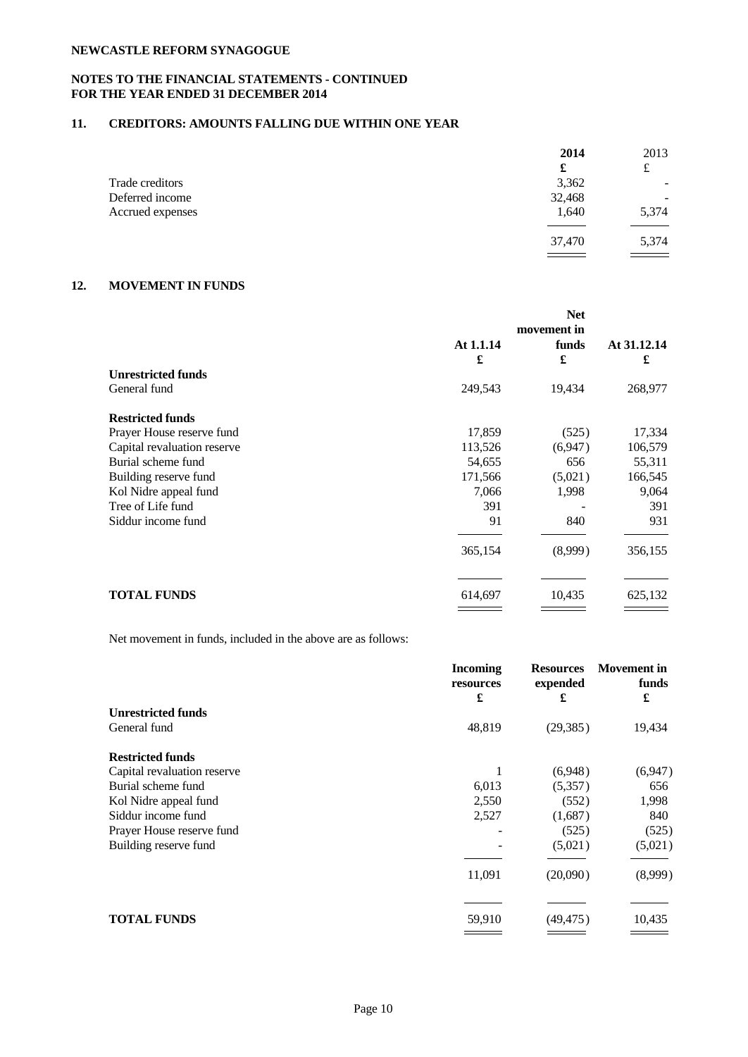## **NOTES TO THE FINANCIAL STATEMENTS - CONTINUED FOR THE YEAR ENDED 31 DECEMBER 2014**

## **11. CREDITORS: AMOUNTS FALLING DUE WITHIN ONE YEAR**

|                  | 2014   | 2013                                      |  |
|------------------|--------|-------------------------------------------|--|
|                  | £      | £                                         |  |
| Trade creditors  | 3,362  | $\overline{\phantom{0}}$                  |  |
| Deferred income  | 32,468 |                                           |  |
| Accrued expenses | 1,640  | 5,374                                     |  |
|                  |        |                                           |  |
|                  | 37,470 | 5,374                                     |  |
|                  | $ -$   | $\qquad \qquad \overline{\qquad \qquad }$ |  |

## **12. MOVEMENT IN FUNDS**

|                             | <b>Net</b> |             |             |
|-----------------------------|------------|-------------|-------------|
|                             |            | movement in |             |
|                             | At 1.1.14  | funds       | At 31.12.14 |
|                             | £          | £           | £           |
| <b>Unrestricted funds</b>   |            |             |             |
| General fund                | 249,543    | 19,434      | 268,977     |
| <b>Restricted funds</b>     |            |             |             |
| Prayer House reserve fund   | 17,859     | (525)       | 17,334      |
| Capital revaluation reserve | 113,526    | (6,947)     | 106,579     |
| Burial scheme fund          | 54,655     | 656         | 55,311      |
| Building reserve fund       | 171,566    | (5,021)     | 166,545     |
| Kol Nidre appeal fund       | 7,066      | 1,998       | 9,064       |
| Tree of Life fund           | 391        |             | 391         |
| Siddur income fund          | 91         | 840         | 931         |
|                             | 365,154    | (8,999)     | 356,155     |
| <b>TOTAL FUNDS</b>          | 614,697    | 10,435      | 625,132     |
|                             |            |             |             |

Net movement in funds, included in the above are as follows:

|                             | <b>Incoming</b><br>resources<br>£ | <b>Resources</b><br>expended<br>£ | <b>Movement</b> in<br>funds<br>£ |
|-----------------------------|-----------------------------------|-----------------------------------|----------------------------------|
| <b>Unrestricted funds</b>   |                                   |                                   |                                  |
| General fund                | 48,819                            | (29, 385)                         | 19,434                           |
| <b>Restricted funds</b>     |                                   |                                   |                                  |
| Capital revaluation reserve |                                   | (6,948)                           | (6,947)                          |
| Burial scheme fund          | 6,013                             | (5,357)                           | 656                              |
| Kol Nidre appeal fund       | 2,550                             | (552)                             | 1,998                            |
| Siddur income fund          | 2,527                             | (1,687)                           | 840                              |
| Prayer House reserve fund   |                                   | (525)                             | (525)                            |
| Building reserve fund       |                                   | (5,021)                           | (5,021)                          |
|                             | 11,091                            | (20,090)                          | (8,999)                          |
|                             |                                   |                                   |                                  |
| <b>TOTAL FUNDS</b>          | 59,910                            | (49, 475)                         | 10,435                           |
|                             |                                   |                                   |                                  |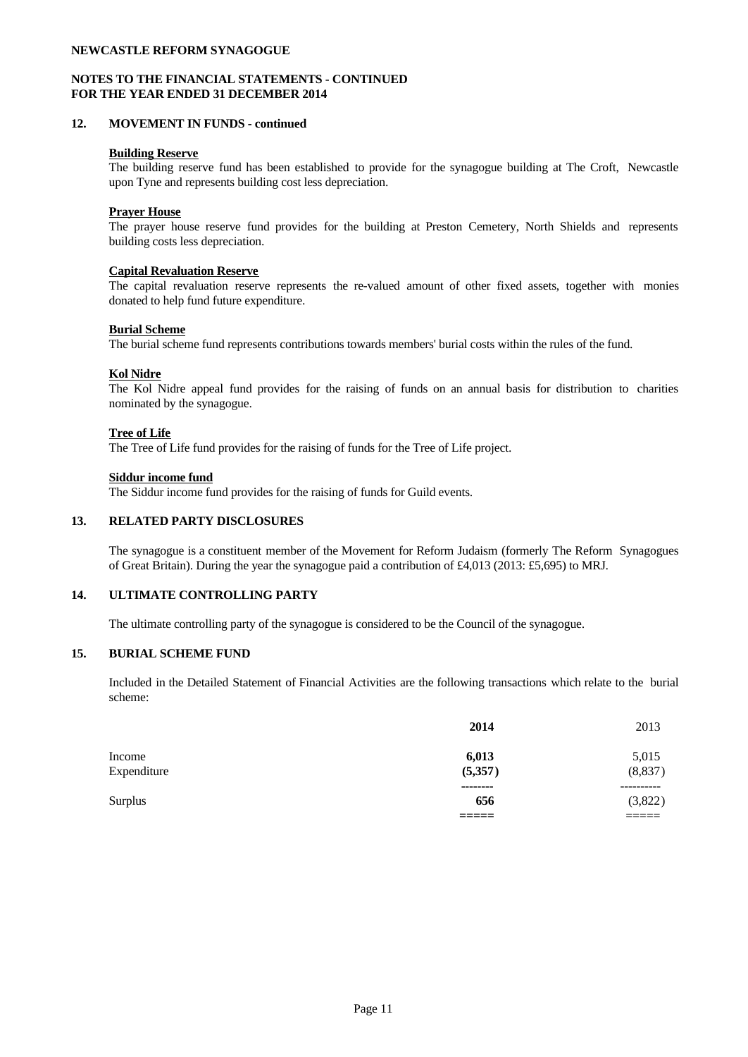### **NOTES TO THE FINANCIAL STATEMENTS - CONTINUED FOR THE YEAR ENDED 31 DECEMBER 2014**

#### **12. MOVEMENT IN FUNDS - continued**

#### **Building Reserve**

The building reserve fund has been established to provide for the synagogue building at The Croft, Newcastle upon Tyne and represents building cost less depreciation.

### **Prayer House**

The prayer house reserve fund provides for the building at Preston Cemetery, North Shields and represents building costs less depreciation.

### **Capital Revaluation Reserve**

The capital revaluation reserve represents the re-valued amount of other fixed assets, together with monies donated to help fund future expenditure.

#### **Burial Scheme**

The burial scheme fund represents contributions towards members' burial costs within the rules of the fund.

### **Kol Nidre**

The Kol Nidre appeal fund provides for the raising of funds on an annual basis for distribution to charities nominated by the synagogue.

#### **Tree of Life**

The Tree of Life fund provides for the raising of funds for the Tree of Life project.

#### **Siddur income fund**

The Siddur income fund provides for the raising of funds for Guild events.

### **13. RELATED PARTY DISCLOSURES**

The synagogue is a constituent member of the Movement for Reform Judaism (formerly The Reform Synagogues of Great Britain). During the year the synagogue paid a contribution of £4,013 (2013: £5,695) to MRJ.

### **14. ULTIMATE CONTROLLING PARTY**

The ultimate controlling party of the synagogue is considered to be the Council of the synagogue.

### **15. BURIAL SCHEME FUND**

Included in the Detailed Statement of Financial Activities are the following transactions which relate to the burial scheme:

|                | 2014     | 2013           |
|----------------|----------|----------------|
| Income         | 6,013    | 5,015          |
| Expenditure    | (5,357)  | (8,837)        |
|                | -------- | ----------     |
| <b>Surplus</b> | 656      | (3,822)        |
|                | ------   | _____<br>_____ |